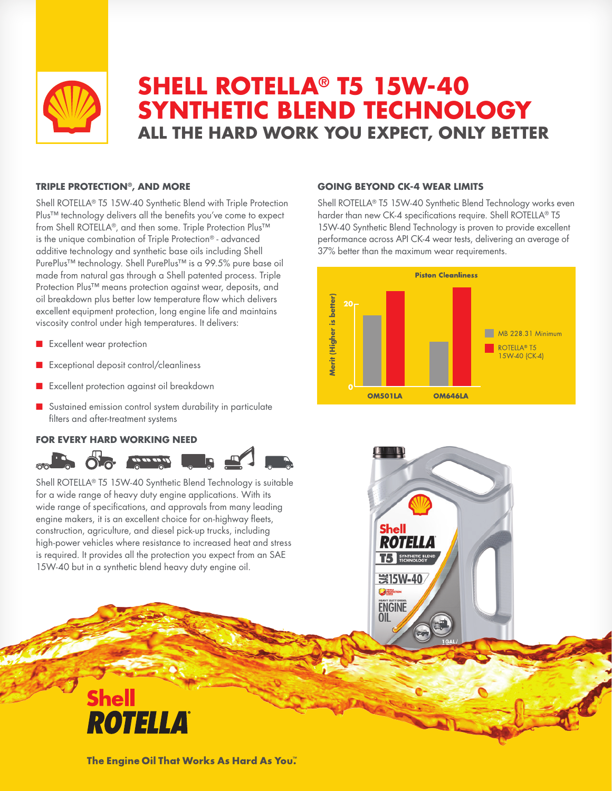

# **SHELL ROTELLA® T5 15W-40 SYNTHETIC BLEND TECHNOLOGY ALL THE HARD WORK YOU EXPECT, ONLY BETTER**

### **TRIPLE PROTECTION®, AND MORE**

Shell ROTELLA® T5 15W-40 Synthetic Blend with Triple Protection Plus™ technology delivers all the benefits you've come to expect from Shell ROTELLA®, and then some. Triple Protection Plus™ is the unique combination of Triple Protection® - advanced additive technology and synthetic base oils including Shell PurePlus™ technology. Shell PurePlus™ is a 99.5% pure base oil made from natural gas through a Shell patented process. Triple Protection Plus™ means protection against wear, deposits, and oil breakdown plus better low temperature flow which delivers excellent equipment protection, long engine life and maintains viscosity control under high temperatures. It delivers:

- **n** Excellent wear protection
- Exceptional deposit control/cleanliness
- **n** Excellent protection against oil breakdown
- **n** Sustained emission control system durability in particulate filters and after-treatment systems

## **FOR EVERY HARD WORKING NEED**

#### **GOING BEYOND CK-4 WEAR LIMITS**

Shell ROTELLA® T5 15W-40 Synthetic Blend Technology works even harder than new CK-4 specifications require. Shell ROTELLA® T5 15W-40 Synthetic Blend Technology is proven to provide excellent performance across API CK-4 wear tests, delivering an average of 37% better than the maximum wear requirements.